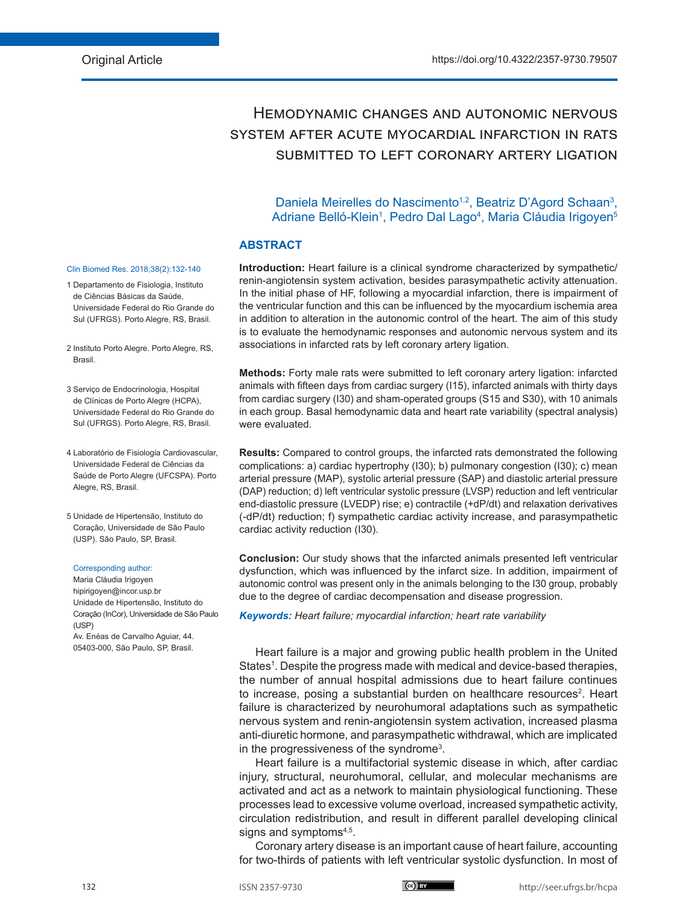# Hemodynamic changes and autonomic nervous system after acute myocardial infarction in rats submitted to left coronary artery ligation

# Daniela Meirelles do Nascimento<sup>1,2</sup>, Beatriz D'Agord Schaan<sup>3</sup>, Adriane Belló-Klein<sup>1</sup>, Pedro Dal Lago<sup>4</sup>, Maria Cláudia Irigoyen<sup>5</sup>

#### **ABSTRACT**

**Introduction:** Heart failure is a clinical syndrome characterized by sympathetic/ renin-angiotensin system activation, besides parasympathetic activity attenuation. In the initial phase of HF, following a myocardial infarction, there is impairment of the ventricular function and this can be influenced by the myocardium ischemia area in addition to alteration in the autonomic control of the heart. The aim of this study is to evaluate the hemodynamic responses and autonomic nervous system and its associations in infarcted rats by left coronary artery ligation.

**Methods:** Forty male rats were submitted to left coronary artery ligation: infarcted animals with fifteen days from cardiac surgery (I15), infarcted animals with thirty days from cardiac surgery (I30) and sham-operated groups (S15 and S30), with 10 animals in each group. Basal hemodynamic data and heart rate variability (spectral analysis) were evaluated.

**Results:** Compared to control groups, the infarcted rats demonstrated the following complications: a) cardiac hypertrophy (I30); b) pulmonary congestion (I30); c) mean arterial pressure (MAP), systolic arterial pressure (SAP) and diastolic arterial pressure (DAP) reduction; d) left ventricular systolic pressure (LVSP) reduction and left ventricular end-diastolic pressure (LVEDP) rise; e) contractile (+dP/dt) and relaxation derivatives (-dP/dt) reduction; f) sympathetic cardiac activity increase, and parasympathetic cardiac activity reduction (I30).

**Conclusion:** Our study shows that the infarcted animals presented left ventricular dysfunction, which was influenced by the infarct size. In addition, impairment of autonomic control was present only in the animals belonging to the I30 group, probably due to the degree of cardiac decompensation and disease progression.

*Keywords: Heart failure; myocardial infarction; heart rate variability*

Heart failure is a major and growing public health problem in the United States<sup>1</sup>. Despite the progress made with medical and device-based therapies, the number of annual hospital admissions due to heart failure continues to increase, posing a substantial burden on healthcare resources<sup>2</sup>. Heart failure is characterized by neurohumoral adaptations such as sympathetic nervous system and renin-angiotensin system activation, increased plasma anti-diuretic hormone, and parasympathetic withdrawal, which are implicated in the progressiveness of the syndrome<sup>3</sup>.

Heart failure is a multifactorial systemic disease in which, after cardiac injury, structural, neurohumoral, cellular, and molecular mechanisms are activated and act as a network to maintain physiological functioning. These processes lead to excessive volume overload, increased sympathetic activity, circulation redistribution, and result in different parallel developing clinical signs and symptoms<sup>4,5</sup>.

Coronary artery disease is an important cause of heart failure, accounting for two-thirds of patients with left ventricular systolic dysfunction. In most of

#### Clin Biomed Res. 2018;38(2):132-140

- 1 Departamento de Fisiologia, Instituto de Ciências Básicas da Saúde, Universidade Federal do Rio Grande do Sul (UFRGS). Porto Alegre, RS, Brasil.
- 2 Instituto Porto Alegre. Porto Alegre, RS, Brasil.
- 3 Serviço de Endocrinologia, Hospital de Clínicas de Porto Alegre (HCPA), Universidade Federal do Rio Grande do Sul (UFRGS). Porto Alegre, RS, Brasil.
- 4 Laboratório de Fisiologia Cardiovascular, Universidade Federal de Ciências da Saúde de Porto Alegre (UFCSPA). Porto Alegre, RS, Brasil.
- 5 Unidade de Hipertensão, Instituto do Coração, Universidade de São Paulo (USP). São Paulo, SP, Brasil.

#### Corresponding author:

Maria Cláudia Irigoyen hipirigoyen@incor.usp.br Unidade de Hipertensão, Instituto do Coração (InCor), Universidade de São Paulo (USP)

Av. Enéas de Carvalho Aguiar, 44. 05403-000, São Paulo, SP, Brasil.

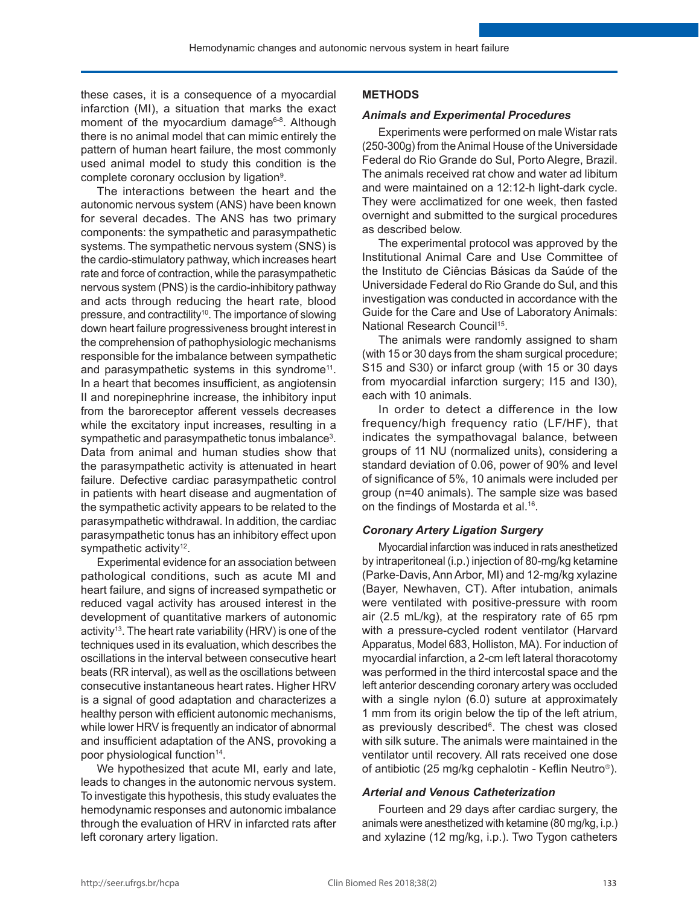these cases, it is a consequence of a myocardial infarction (MI), a situation that marks the exact moment of the myocardium damage<sup>6-8</sup>. Although there is no animal model that can mimic entirely the pattern of human heart failure, the most commonly used animal model to study this condition is the complete coronary occlusion by ligation<sup>9</sup>.

The interactions between the heart and the autonomic nervous system (ANS) have been known for several decades. The ANS has two primary components: the sympathetic and parasympathetic systems. The sympathetic nervous system (SNS) is the cardio-stimulatory pathway, which increases heart rate and force of contraction, while the parasympathetic nervous system (PNS) is the cardio-inhibitory pathway and acts through reducing the heart rate, blood pressure, and contractility<sup>10</sup>. The importance of slowing down heart failure progressiveness brought interest in the comprehension of pathophysiologic mechanisms responsible for the imbalance between sympathetic and parasympathetic systems in this syndrome<sup>11</sup>. In a heart that becomes insufficient, as angiotensin II and norepinephrine increase, the inhibitory input from the baroreceptor afferent vessels decreases while the excitatory input increases, resulting in a sympathetic and parasympathetic tonus imbalance<sup>3</sup>. Data from animal and human studies show that the parasympathetic activity is attenuated in heart failure. Defective cardiac parasympathetic control in patients with heart disease and augmentation of the sympathetic activity appears to be related to the parasympathetic withdrawal. In addition, the cardiac parasympathetic tonus has an inhibitory effect upon sympathetic activity<sup>12</sup>.

Experimental evidence for an association between pathological conditions, such as acute MI and heart failure, and signs of increased sympathetic or reduced vagal activity has aroused interest in the development of quantitative markers of autonomic activity<sup>13</sup>. The heart rate variability (HRV) is one of the techniques used in its evaluation, which describes the oscillations in the interval between consecutive heart beats (RR interval), as well as the oscillations between consecutive instantaneous heart rates. Higher HRV is a signal of good adaptation and characterizes a healthy person with efficient autonomic mechanisms, while lower HRV is frequently an indicator of abnormal and insufficient adaptation of the ANS, provoking a poor physiological function<sup>14</sup>.

We hypothesized that acute MI, early and late, leads to changes in the autonomic nervous system. To investigate this hypothesis, this study evaluates the hemodynamic responses and autonomic imbalance through the evaluation of HRV in infarcted rats after left coronary artery ligation.

# **METHODS**

#### *Animals and Experimental Procedures*

Experiments were performed on male Wistar rats (250-300g) from the Animal House of the Universidade Federal do Rio Grande do Sul, Porto Alegre, Brazil. The animals received rat chow and water ad libitum and were maintained on a 12:12-h light-dark cycle. They were acclimatized for one week, then fasted overnight and submitted to the surgical procedures as described below.

The experimental protocol was approved by the Institutional Animal Care and Use Committee of the Instituto de Ciências Básicas da Saúde of the Universidade Federal do Rio Grande do Sul, and this investigation was conducted in accordance with the Guide for the Care and Use of Laboratory Animals: National Research Council<sup>15</sup>.

The animals were randomly assigned to sham (with 15 or 30 days from the sham surgical procedure; S15 and S30) or infarct group (with 15 or 30 days from myocardial infarction surgery; I15 and I30), each with 10 animals.

In order to detect a difference in the low frequency/high frequency ratio (LF/HF), that indicates the sympathovagal balance, between groups of 11 NU (normalized units), considering a standard deviation of 0.06, power of 90% and level of significance of 5%, 10 animals were included per group (n=40 animals). The sample size was based on the findings of Mostarda et al.<sup>16</sup>.

## *Coronary Artery Ligation Surgery*

Myocardial infarction was induced in rats anesthetized by intraperitoneal (i.p.) injection of 80-mg/kg ketamine (Parke-Davis, Ann Arbor, MI) and 12-mg/kg xylazine (Bayer, Newhaven, CT). After intubation, animals were ventilated with positive-pressure with room air (2.5 mL/kg), at the respiratory rate of 65 rpm with a pressure-cycled rodent ventilator (Harvard Apparatus, Model 683, Holliston, MA). For induction of myocardial infarction, a 2-cm left lateral thoracotomy was performed in the third intercostal space and the left anterior descending coronary artery was occluded with a single nylon (6.0) suture at approximately 1 mm from its origin below the tip of the left atrium, as previously described<sup>6</sup>. The chest was closed with silk suture. The animals were maintained in the ventilator until recovery. All rats received one dose of antibiotic (25 mg/kg cephalotin - Keflin Neutro<sup>®</sup>).

## *Arterial and Venous Catheterization*

Fourteen and 29 days after cardiac surgery, the animals were anesthetized with ketamine (80 mg/kg, i.p.) and xylazine (12 mg/kg, i.p.). Two Tygon catheters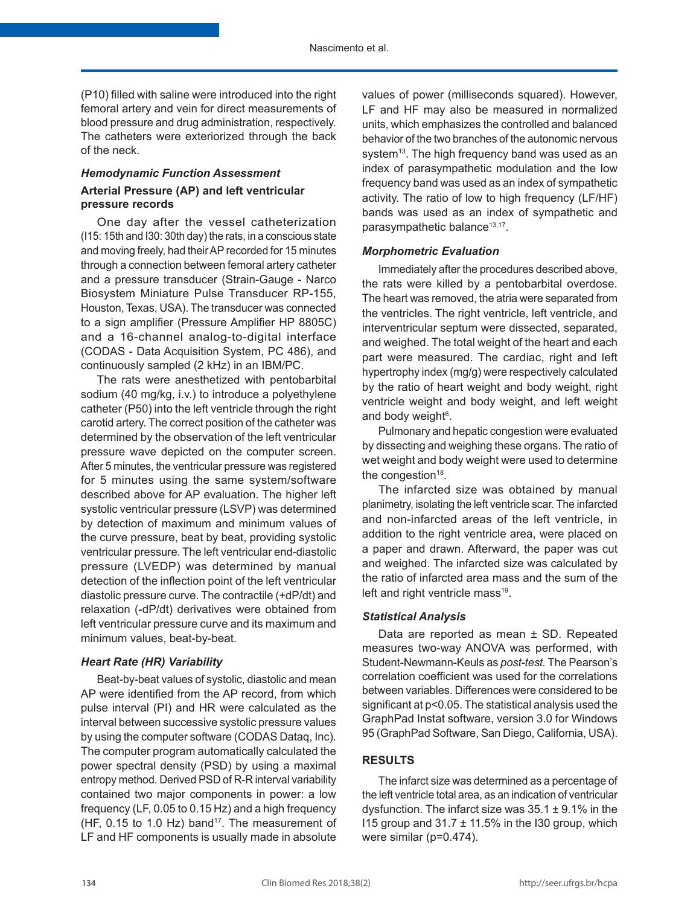(P10) filled with saline were introduced into the right femoral artery and vein for direct measurements of blood pressure and drug administration, respectively. The catheters were exteriorized through the back of the neck.

# *Hemodynamic Function Assessment* **Arterial Pressure (AP) and left ventricular pressure records**

One day after the vessel catheterization (I15: 15th and I30: 30th day) the rats, in a conscious state and moving freely, had their AP recorded for 15 minutes through a connection between femoral artery catheter and a pressure transducer (Strain-Gauge - Narco Biosystem Miniature Pulse Transducer RP-155, Houston, Texas, USA). The transducer was connected to a sign amplifier (Pressure Amplifier HP 8805C) and a 16-channel analog-to-digital interface (CODAS - Data Acquisition System, PC 486), and continuously sampled (2 kHz) in an IBM/PC.

The rats were anesthetized with pentobarbital sodium (40 mg/kg, i.v.) to introduce a polyethylene catheter (P50) into the left ventricle through the right carotid artery. The correct position of the catheter was determined by the observation of the left ventricular pressure wave depicted on the computer screen. After 5 minutes, the ventricular pressure was registered for 5 minutes using the same system/software described above for AP evaluation. The higher left systolic ventricular pressure (LSVP) was determined by detection of maximum and minimum values of the curve pressure, beat by beat, providing systolic ventricular pressure. The left ventricular end-diastolic pressure (LVEDP) was determined by manual detection of the inflection point of the left ventricular diastolic pressure curve. The contractile (+dP/dt) and relaxation (-dP/dt) derivatives were obtained from left ventricular pressure curve and its maximum and minimum values, beat-by-beat.

## *Heart Rate (HR) Variability*

Beat-by-beat values of systolic, diastolic and mean AP were identified from the AP record, from which pulse interval (PI) and HR were calculated as the interval between successive systolic pressure values by using the computer software (CODAS Dataq, Inc). The computer program automatically calculated the power spectral density (PSD) by using a maximal entropy method. Derived PSD of R-R interval variability contained two major components in power: a low frequency (LF, 0.05 to 0.15 Hz) and a high frequency (HF,  $0.15$  to 1.0 Hz) band<sup>17</sup>. The measurement of LF and HF components is usually made in absolute

values of power (milliseconds squared). However, LF and HF may also be measured in normalized units, which emphasizes the controlled and balanced behavior of the two branches of the autonomic nervous system<sup>13</sup>. The high frequency band was used as an index of parasympathetic modulation and the low frequency band was used as an index of sympathetic activity. The ratio of low to high frequency (LF/HF) bands was used as an index of sympathetic and parasympathetic balance13,17.

# *Morphometric Evaluation*

Immediately after the procedures described above, the rats were killed by a pentobarbital overdose. The heart was removed, the atria were separated from the ventricles. The right ventricle, left ventricle, and interventricular septum were dissected, separated, and weighed. The total weight of the heart and each part were measured. The cardiac, right and left hypertrophy index (mg/g) were respectively calculated by the ratio of heart weight and body weight, right ventricle weight and body weight, and left weight and body weight<sup>6</sup>.

Pulmonary and hepatic congestion were evaluated by dissecting and weighing these organs. The ratio of wet weight and body weight were used to determine the congestion<sup>18</sup>.

The infarcted size was obtained by manual planimetry, isolating the left ventricle scar. The infarcted and non-infarcted areas of the left ventricle, in addition to the right ventricle area, were placed on a paper and drawn. Afterward, the paper was cut and weighed. The infarcted size was calculated by the ratio of infarcted area mass and the sum of the left and right ventricle mass<sup>19</sup>.

# *Statistical Analysis*

Data are reported as mean ± SD. Repeated measures two-way ANOVA was performed, with Student-Newmann-Keuls as *post-test.* The Pearson's correlation coefficient was used for the correlations between variables. Differences were considered to be significant at p<0.05. The statistical analysis used the GraphPad Instat software, version 3.0 for Windows 95 (GraphPad Software, San Diego, California, USA).

# **RESULTS**

The infarct size was determined as a percentage of the left ventricle total area, as an indication of ventricular dysfunction. The infarct size was  $35.1 \pm 9.1\%$  in the I15 group and  $31.7 \pm 11.5\%$  in the I30 group, which were similar (p=0.474).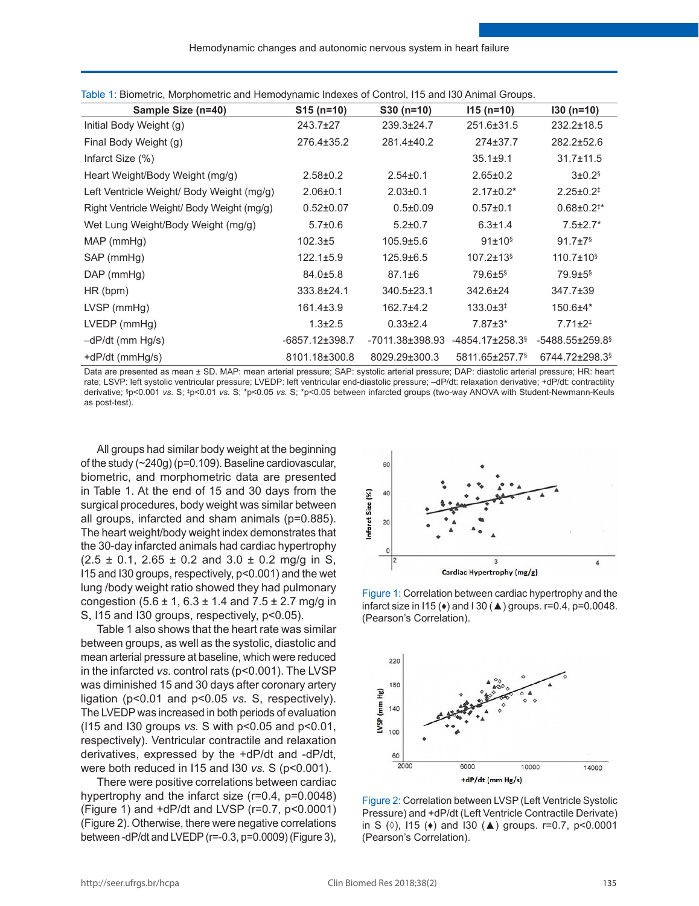| Sample Size (n=40)                         | $S15(n=10)$     | $$30 (n=10)$     | $115(n=10)$                       | $130(n=10)$                       |
|--------------------------------------------|-----------------|------------------|-----------------------------------|-----------------------------------|
| Initial Body Weight (g)                    | $243.7 \pm 27$  | 239.3±24.7       | 251.6±31.5                        | $232.2 \pm 18.5$                  |
| Final Body Weight (g)                      | 276.4±35.2      | 281.4±40.2       | 274±37.7                          | 282.2±52.6                        |
| Infarct Size (%)                           |                 |                  | $35.1 \pm 9.1$                    | $31.7 \pm 11.5$                   |
| Heart Weight/Body Weight (mg/g)            | $2.58 \pm 0.2$  | $2.54 \pm 0.1$   | $2.65 \pm 0.2$                    | $3 \pm 0.2$ <sup>§</sup>          |
| Left Ventricle Weight/ Body Weight (mg/g)  | $2.06 \pm 0.1$  | $2.03 \pm 0.1$   | $2.17 \pm 0.2^*$                  | $2.25 \pm 0.2^{\ddagger}$         |
| Right Ventricle Weight/ Body Weight (mg/g) | $0.52 \pm 0.07$ | $0.5 \pm 0.09$   | $0.57 \pm 0.1$                    | $0.68 \pm 0.2$ <sup>**</sup>      |
| Wet Lung Weight/Body Weight (mg/g)         | $5.7 \pm 0.6$   | $5.2 \pm 0.7$    | $6.3 \pm 1.4$                     | $7.5 \pm 2.7^*$                   |
| $MAP$ (mmHg)                               | $102.3 + 5$     | 105.9±5.6        | $91 \pm 10^{\frac{5}{3}}$         | $91.7 \pm 7$ <sup>§</sup>         |
| SAP (mmHg)                                 | $122.1 \pm 5.9$ | 125.9±6.5        | $107.2 \pm 13$ <sup>§</sup>       | $110.7 \pm 10$ <sup>§</sup>       |
| $DAP$ (mmHg)                               | $84.0 \pm 5.8$  | $87.1 \pm 6$     | $79.6 \pm 5$ <sup>§</sup>         | $79.9 + 5$                        |
| HR (bpm)                                   | 333.8±24.1      | $340.5 \pm 23.1$ | 342.6±24                          | $347.7 \pm 39$                    |
| LVSP(mmHg)                                 | $161.4 \pm 3.9$ | $162.7 + 4.2$    | $133.0 \pm 3^{\ddagger}$          | $150.6 + 4*$                      |
| $LVEDP$ (mm $Hg$ )                         | $1.3 \pm 2.5$   | $0.33 \pm 2.4$   | $7.87 \pm 3*$                     | $7.71 \pm 2^+$                    |
| -dP/dt (mm Hg/s)                           | -6857.12±398.7  | -7011.38±398.93  | $-4854.17 \pm 258.3$ <sup>§</sup> | $-5488.55 \pm 259.8$ <sup>§</sup> |
| +dP/dt (mmHq/s)                            | 8101.18±300.8   | 8029.29±300.3    | 5811.65±257.7 <sup>§</sup>        | 6744.72±298.3 <sup>§</sup>        |

Table 1: Biometric, Morphometric and Hemodynamic Indexes of Control, I15 and I30 Animal Groups.

Data are presented as mean ± SD. MAP: mean arterial pressure; SAP: systolic arterial pressure; DAP: diastolic arterial pressure; HR: heart rate; LSVP: left systolic ventricular pressure; LVEDP: left ventricular end-diastolic pressure; –dP/dt: relaxation derivative; +dP/dt: contractility derivative; § p<0.001 *vs.* S; ‡ p<0.01 *vs.* S; \*p<0.05 *vs.* S; \*p<0.05 between infarcted groups (two-way ANOVA with Student-Newmann-Keuls as post-test).

All groups had similar body weight at the beginning of the study (~240g) (p=0.109). Baseline cardiovascular, biometric, and morphometric data are presented in Table 1. At the end of 15 and 30 days from the surgical procedures, body weight was similar between all groups, infarcted and sham animals (p=0.885). The heart weight/body weight index demonstrates that the 30-day infarcted animals had cardiac hypertrophy  $(2.5 \pm 0.1, 2.65 \pm 0.2 \text{ and } 3.0 \pm 0.2 \text{ mq/q in S})$ I15 and I30 groups, respectively, p<0.001) and the wet lung /body weight ratio showed they had pulmonary congestion (5.6 ± 1, 6.3 ± 1.4 and 7.5 ± 2.7 mg/g in S, I15 and I30 groups, respectively,  $p<0.05$ ).

Table 1 also shows that the heart rate was similar between groups, as well as the systolic, diastolic and mean arterial pressure at baseline, which were reduced in the infarcted *vs.* control rats (p<0.001). The LVSP was diminished 15 and 30 days after coronary artery ligation (p<0.01 and p<0.05 *vs.* S, respectively). The LVEDP was increased in both periods of evaluation (I15 and I30 groups *vs.* S with p<0.05 and p<0.01, respectively). Ventricular contractile and relaxation derivatives, expressed by the +dP/dt and -dP/dt, were both reduced in I15 and I30 *vs.* S (p˂0.001).

There were positive correlations between cardiac hypertrophy and the infarct size (r=0.4, p=0.0048) (Figure 1) and +dP/dt and LVSP (r=0.7, p<0.0001) (Figure 2). Otherwise, there were negative correlations between -dP/dt and LVEDP (r=-0.3, p=0.0009) (Figure 3),



Figure 1: Correlation between cardiac hypertrophy and the infarct size in I15 ( $\leftrightarrow$ ) and I 30 ( $\triangle$ ) groups. r=0.4, p=0.0048. (Pearson's Correlation).



Figure 2: Correlation between LVSP (Left Ventricle Systolic Pressure) and +dP/dt (Left Ventricle Contractile Derivate) in S  $(0)$ , 115 ( $\leftrightarrow$ ) and 130 ( $\triangle$ ) groups. r=0.7, p<0.0001 (Pearson's Correlation).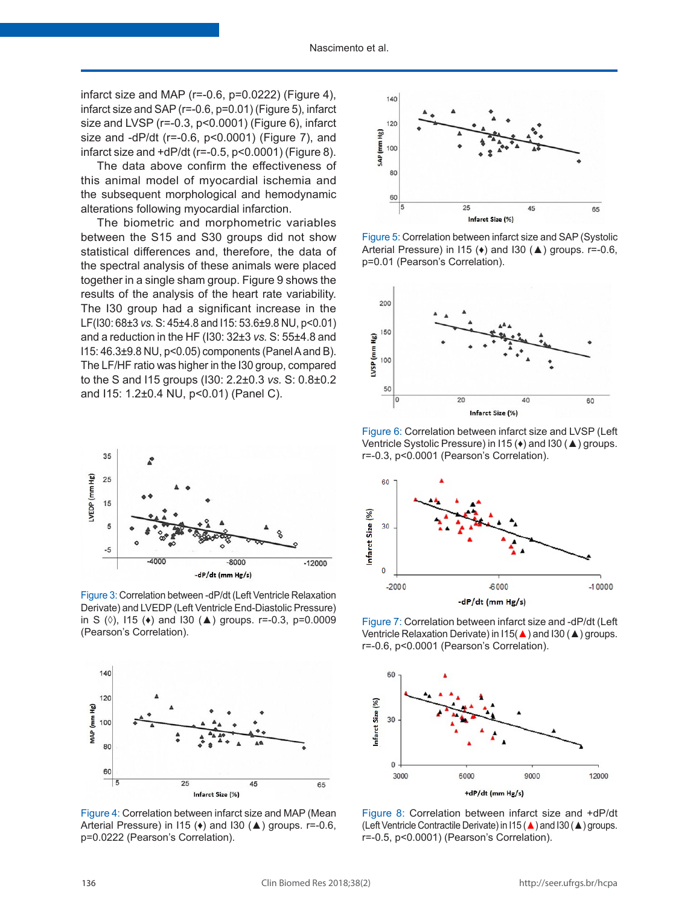infarct size and MAP ( $r=-0.6$ ,  $p=0.0222$ ) (Figure 4), infarct size and SAP (r=-0.6, p=0.01) (Figure 5), infarct size and LVSP (r=-0.3, p<0.0001) (Figure 6), infarct size and -dP/dt (r=-0.6, p˂0.0001) (Figure 7), and infarct size and +dP/dt (r=-0.5, p˂0.0001) (Figure 8).

The data above confirm the effectiveness of this animal model of myocardial ischemia and the subsequent morphological and hemodynamic alterations following myocardial infarction.

The biometric and morphometric variables between the S15 and S30 groups did not show statistical differences and, therefore, the data of the spectral analysis of these animals were placed together in a single sham group. Figure 9 shows the results of the analysis of the heart rate variability. The I30 group had a significant increase in the LF(I30: 68±3 *vs.* S: 45±4.8 and I15: 53.6±9.8 NU, p<0.01) and a reduction in the HF (I30: 32±3 *vs.* S: 55±4.8 and I15: 46.3±9.8 NU, p<0.05) components (Panel A and B). The LF/HF ratio was higher in the I30 group, compared to the S and I15 groups (I30: 2.2±0.3 *vs.* S: 0.8±0.2 and I15: 1.2±0.4 NU, p<0.01) (Panel C).



Figure 3: Correlation between -dP/dt (Left Ventricle Relaxation Derivate) and LVEDP (Left Ventricle End-Diastolic Pressure) in S (◊), I15 (♦) and I30 (▲) groups. r=-0.3, p=0.0009 (Pearson's Correlation).



Figure 4: Correlation between infarct size and MAP (Mean Arterial Pressure) in I15 (♦) and I30 (▲) groups. r=-0.6, p=0.0222 (Pearson's Correlation).



Figure 5: Correlation between infarct size and SAP (Systolic Arterial Pressure) in I15 (♦) and I30 (▲) groups. r=-0.6, p=0.01 (Pearson's Correlation).



Figure 6: Correlation between infarct size and LVSP (Left Ventricle Systolic Pressure) in I15 (♦) and I30 (▲) groups. r=-0.3, p<0.0001 (Pearson's Correlation).



Figure 7: Correlation between infarct size and -dP/dt (Left Ventricle Relaxation Derivate) in I15(▲) and I30 (▲) groups. r=-0.6, p˂0.0001 (Pearson's Correlation).



Figure 8: Correlation between infarct size and +dP/dt (Left Ventricle Contractile Derivate) in I15 (▲) and I30 (▲) groups. r=-0.5, p˂0.0001) (Pearson's Correlation).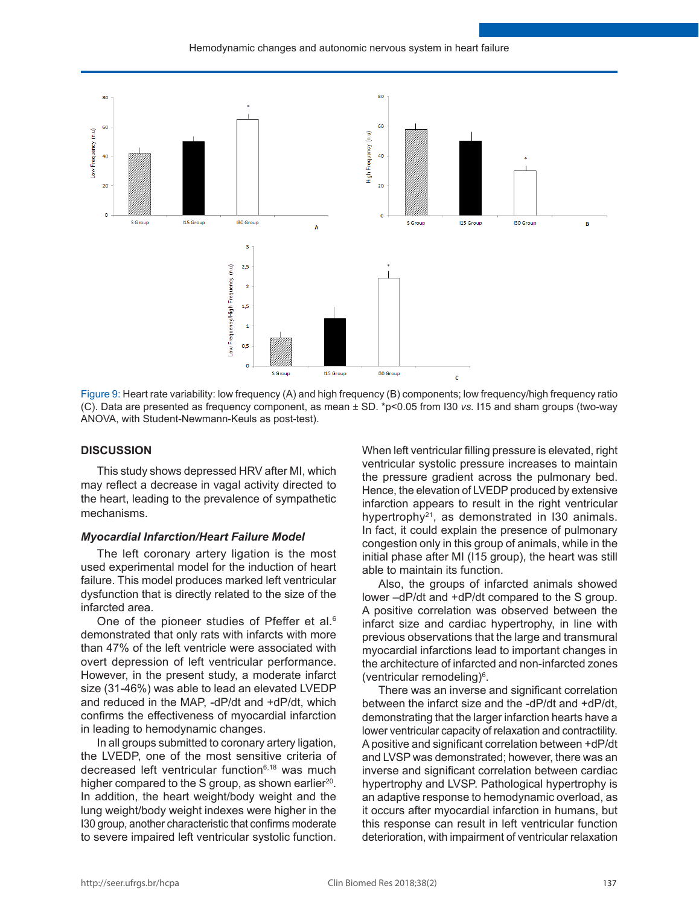

Figure 9: Heart rate variability: low frequency (A) and high frequency (B) components; low frequency/high frequency ratio (C). Data are presented as frequency component, as mean ± SD. \*p<0.05 from I30 *vs.* I15 and sham groups (two-way ANOVA, with Student-Newmann-Keuls as post-test).

#### **DISCUSSION**

This study shows depressed HRV after MI, which may reflect a decrease in vagal activity directed to the heart, leading to the prevalence of sympathetic mechanisms.

#### *Myocardial Infarction/Heart Failure Model*

The left coronary artery ligation is the most used experimental model for the induction of heart failure. This model produces marked left ventricular dysfunction that is directly related to the size of the infarcted area.

One of the pioneer studies of Pfeffer et al.<sup>6</sup> demonstrated that only rats with infarcts with more than 47% of the left ventricle were associated with overt depression of left ventricular performance. However, in the present study, a moderate infarct size (31-46%) was able to lead an elevated LVEDP and reduced in the MAP, -dP/dt and +dP/dt, which confirms the effectiveness of myocardial infarction in leading to hemodynamic changes.

In all groups submitted to coronary artery ligation, the LVEDP, one of the most sensitive criteria of decreased left ventricular function<sup>6,18</sup> was much higher compared to the S group, as shown earlier<sup>20</sup>. In addition, the heart weight/body weight and the lung weight/body weight indexes were higher in the I30 group, another characteristic that confirms moderate to severe impaired left ventricular systolic function.

When left ventricular filling pressure is elevated, right ventricular systolic pressure increases to maintain the pressure gradient across the pulmonary bed. Hence, the elevation of LVEDP produced by extensive infarction appears to result in the right ventricular hypertrophy<sup>21</sup>, as demonstrated in I30 animals. In fact, it could explain the presence of pulmonary congestion only in this group of animals, while in the initial phase after MI (I15 group), the heart was still able to maintain its function.

Also, the groups of infarcted animals showed lower –dP/dt and +dP/dt compared to the S group. A positive correlation was observed between the infarct size and cardiac hypertrophy, in line with previous observations that the large and transmural myocardial infarctions lead to important changes in the architecture of infarcted and non-infarcted zones (ventricular remodeling)6 .

There was an inverse and significant correlation between the infarct size and the -dP/dt and +dP/dt, demonstrating that the larger infarction hearts have a lower ventricular capacity of relaxation and contractility. A positive and significant correlation between +dP/dt and LVSP was demonstrated; however, there was an inverse and significant correlation between cardiac hypertrophy and LVSP. Pathological hypertrophy is an adaptive response to hemodynamic overload, as it occurs after myocardial infarction in humans, but this response can result in left ventricular function deterioration, with impairment of ventricular relaxation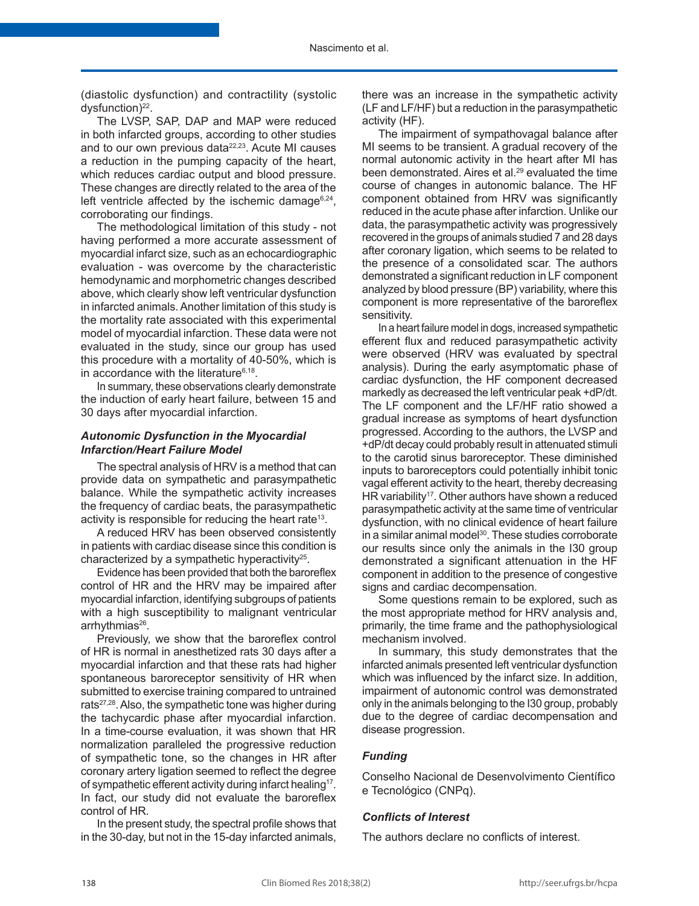(diastolic dysfunction) and contractility (systolic dysfunction)<sup>22</sup>.

The LVSP, SAP, DAP and MAP were reduced in both infarcted groups, according to other studies and to our own previous data<sup>22,23</sup>. Acute MI causes a reduction in the pumping capacity of the heart, which reduces cardiac output and blood pressure. These changes are directly related to the area of the left ventricle affected by the ischemic damage $6,24$ . corroborating our findings.

The methodological limitation of this study - not having performed a more accurate assessment of myocardial infarct size, such as an echocardiographic evaluation - was overcome by the characteristic hemodynamic and morphometric changes described above, which clearly show left ventricular dysfunction in infarcted animals. Another limitation of this study is the mortality rate associated with this experimental model of myocardial infarction. These data were not evaluated in the study, since our group has used this procedure with a mortality of 40-50%, which is in accordance with the literature<sup>6,18</sup>.

In summary, these observations clearly demonstrate the induction of early heart failure, between 15 and 30 days after myocardial infarction.

## *Autonomic Dysfunction in the Myocardial Infarction/Heart Failure Model*

The spectral analysis of HRV is a method that can provide data on sympathetic and parasympathetic balance. While the sympathetic activity increases the frequency of cardiac beats, the parasympathetic activity is responsible for reducing the heart rate<sup>13</sup>.

A reduced HRV has been observed consistently in patients with cardiac disease since this condition is characterized by a sympathetic hyperactivity<sup>25</sup>.

Evidence has been provided that both the baroreflex control of HR and the HRV may be impaired after myocardial infarction, identifying subgroups of patients with a high susceptibility to malignant ventricular arrhythmias<sup>26</sup>.

Previously, we show that the baroreflex control of HR is normal in anesthetized rats 30 days after a myocardial infarction and that these rats had higher spontaneous baroreceptor sensitivity of HR when submitted to exercise training compared to untrained rats<sup>27,28</sup>. Also, the sympathetic tone was higher during the tachycardic phase after myocardial infarction. In a time-course evaluation, it was shown that HR normalization paralleled the progressive reduction of sympathetic tone, so the changes in HR after coronary artery ligation seemed to reflect the degree of sympathetic efferent activity during infarct healing<sup>17</sup>. In fact, our study did not evaluate the baroreflex control of HR.

In the present study, the spectral profile shows that in the 30-day, but not in the 15-day infarcted animals,

there was an increase in the sympathetic activity (LF and LF/HF) but a reduction in the parasympathetic activity (HF).

The impairment of sympathovagal balance after MI seems to be transient. A gradual recovery of the normal autonomic activity in the heart after MI has been demonstrated. Aires et al.29 evaluated the time course of changes in autonomic balance. The HF component obtained from HRV was significantly reduced in the acute phase after infarction. Unlike our data, the parasympathetic activity was progressively recovered in the groups of animals studied 7 and 28 days after coronary ligation, which seems to be related to the presence of a consolidated scar. The authors demonstrated a significant reduction in LF component analyzed by blood pressure (BP) variability, where this component is more representative of the baroreflex sensitivity.

In a heart failure model in dogs, increased sympathetic efferent flux and reduced parasympathetic activity were observed (HRV was evaluated by spectral analysis). During the early asymptomatic phase of cardiac dysfunction, the HF component decreased markedly as decreased the left ventricular peak +dP/dt. The LF component and the LF/HF ratio showed a gradual increase as symptoms of heart dysfunction progressed. According to the authors, the LVSP and +dP/dt decay could probably result in attenuated stimuli to the carotid sinus baroreceptor. These diminished inputs to baroreceptors could potentially inhibit tonic vagal efferent activity to the heart, thereby decreasing HR variability<sup>17</sup>. Other authors have shown a reduced parasympathetic activity at the same time of ventricular dysfunction, with no clinical evidence of heart failure in a similar animal model $30$ . These studies corroborate our results since only the animals in the I30 group demonstrated a significant attenuation in the HF component in addition to the presence of congestive signs and cardiac decompensation.

Some questions remain to be explored, such as the most appropriate method for HRV analysis and, primarily, the time frame and the pathophysiological mechanism involved.

In summary, this study demonstrates that the infarcted animals presented left ventricular dysfunction which was influenced by the infarct size. In addition, impairment of autonomic control was demonstrated only in the animals belonging to the I30 group, probably due to the degree of cardiac decompensation and disease progression.

## *Funding*

Conselho Nacional de Desenvolvimento Científico e Tecnológico (CNPq).

## *Conflicts of Interest*

The authors declare no conflicts of interest.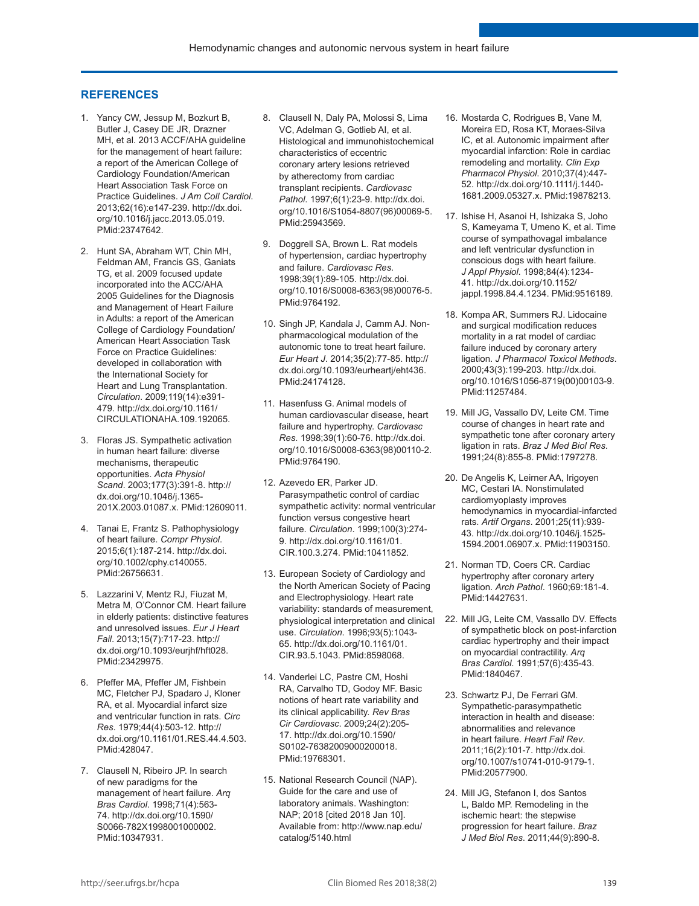#### **REFERENCES**

- 1. Yancy CW, Jessup M, Bozkurt B, Butler J, Casey DE JR, Drazner MH, et al. 2013 ACCF/AHA guideline for the management of heart failure: a report of the American College of Cardiology Foundation/American Heart Association Task Force on Practice Guidelines. *J Am Coll Cardiol*. 2013;62(16):e147-239. [http://dx.doi.](https://doi.org/10.1016/j.jacc.2013.05.019) [org/10.1016/j.jacc.2013.05.019](https://doi.org/10.1016/j.jacc.2013.05.019)[.](https://www.ncbi.nlm.nih.gov/entrez/query.fcgi?cmd=Retrieve&db=PubMed&list_uids=23747642&dopt=Abstract) [PMid:23747642.](https://www.ncbi.nlm.nih.gov/entrez/query.fcgi?cmd=Retrieve&db=PubMed&list_uids=23747642&dopt=Abstract)
- 2. Hunt SA, Abraham WT, Chin MH, Feldman AM, Francis GS, Ganiats TG, et al. 2009 focused update incorporated into the ACC/AHA 2005 Guidelines for the Diagnosis and Management of Heart Failure in Adults: a report of the American College of Cardiology Foundation/ American Heart Association Task Force on Practice Guidelines: developed in collaboration with the International Society for Heart and Lung Transplantation. *Circulation*. 2009;119(14):e391- 479. [http://dx.doi.org/10.1161/](https://doi.org/10.1161/CIRCULATIONAHA.109.192065) [CIRCULATIONAHA.109.192065.](https://doi.org/10.1161/CIRCULATIONAHA.109.192065)
- 3. Floras JS. Sympathetic activation in human heart failure: diverse mechanisms, therapeutic opportunities. *Acta Physiol Scand*. 2003;177(3):391-8. [http://](https://doi.org/10.1046/j.1365-201X.2003.01087.x) [dx.doi.org/10.1046/j.1365-](https://doi.org/10.1046/j.1365-201X.2003.01087.x) [201X.2003.01087.x](https://doi.org/10.1046/j.1365-201X.2003.01087.x). [PMid:12609011.](https://www.ncbi.nlm.nih.gov/entrez/query.fcgi?cmd=Retrieve&db=PubMed&list_uids=12609011&dopt=Abstract)
- 4. Tanai E, Frantz S. Pathophysiology of heart failure. *Compr Physiol*. 2015;6(1):187-214. [http://dx.doi.](https://doi.org/10.1002/cphy.c140055) [org/10.1002/cphy.c140055](https://doi.org/10.1002/cphy.c140055)[.](https://www.ncbi.nlm.nih.gov/entrez/query.fcgi?cmd=Retrieve&db=PubMed&list_uids=26756631&dopt=Abstract) [PMid:26756631.](https://www.ncbi.nlm.nih.gov/entrez/query.fcgi?cmd=Retrieve&db=PubMed&list_uids=26756631&dopt=Abstract)
- 5. Lazzarini V, Mentz RJ, Fiuzat M, Metra M, O'Connor CM. Heart failure in elderly patients: distinctive features and unresolved issues. *Eur J Heart Fail*. 2013;15(7):717-23. [http://](https://doi.org/10.1093/eurjhf/hft028) [dx.doi.org/10.1093/eurjhf/hft028](https://doi.org/10.1093/eurjhf/hft028)[.](https://www.ncbi.nlm.nih.gov/entrez/query.fcgi?cmd=Retrieve&db=PubMed&list_uids=23429975&dopt=Abstract) [PMid:23429975.](https://www.ncbi.nlm.nih.gov/entrez/query.fcgi?cmd=Retrieve&db=PubMed&list_uids=23429975&dopt=Abstract)
- 6. Pfeffer MA, Pfeffer JM, Fishbein MC, Fletcher PJ, Spadaro J, Kloner RA, et al. Myocardial infarct size and ventricular function in rats. *Circ Res*. 1979;44(4):503-12. [http://](https://doi.org/10.1161/01.RES.44.4.503) [dx.doi.org/10.1161/01.RES.44.4.503.](https://doi.org/10.1161/01.RES.44.4.503) [PMid:428047.](https://www.ncbi.nlm.nih.gov/entrez/query.fcgi?cmd=Retrieve&db=PubMed&list_uids=428047&dopt=Abstract)
- 7. Clausell N, Ribeiro JP. In search of new paradigms for the management of heart failure. *Arq Bras Cardiol*. 1998;71(4):563- 74. [http://dx.doi.org/10.1590/](https://doi.org/10.1590/S0066-782X1998001000002) [S0066-782X1998001000002](https://doi.org/10.1590/S0066-782X1998001000002). [PMid:10347931.](https://www.ncbi.nlm.nih.gov/entrez/query.fcgi?cmd=Retrieve&db=PubMed&list_uids=10347931&dopt=Abstract)
- 8. Clausell N, Daly PA, Molossi S, Lima VC, Adelman G, Gotlieb AI, et al. Histological and immunohistochemical characteristics of eccentric coronary artery lesions retrieved by atherectomy from cardiac transplant recipients. *Cardiovasc Pathol*. 1997;6(1):23-9. [http://dx.doi.](https://doi.org/10.1016/S1054-8807(96)00069-5) [org/10.1016/S1054-8807\(96\)00069-5.](https://doi.org/10.1016/S1054-8807(96)00069-5) [PMid:25943569.](https://www.ncbi.nlm.nih.gov/entrez/query.fcgi?cmd=Retrieve&db=PubMed&list_uids=25943569&dopt=Abstract)
- 9. Doggrell SA, Brown L. Rat models of hypertension, cardiac hypertrophy and failure. *Cardiovasc Res*. 1998;39(1):89-105. [http://dx.doi.](https://doi.org/10.1016/S0008-6363(98)00076-5) [org/10.1016/S0008-6363\(98\)00076-5.](https://doi.org/10.1016/S0008-6363(98)00076-5) [PMid:9764192.](https://www.ncbi.nlm.nih.gov/entrez/query.fcgi?cmd=Retrieve&db=PubMed&list_uids=9764192&dopt=Abstract)
- 10. Singh JP, Kandala J, Camm AJ. Nonpharmacological modulation of the autonomic tone to treat heart failure. *Eur Heart J*. 2014;35(2):77-85. [http://](https://doi.org/10.1093/eurheartj/eht436) [dx.doi.org/10.1093/eurheartj/eht436](https://doi.org/10.1093/eurheartj/eht436). [PMid:24174128.](https://www.ncbi.nlm.nih.gov/entrez/query.fcgi?cmd=Retrieve&db=PubMed&list_uids=24174128&dopt=Abstract)
- 11. Hasenfuss G. Animal models of human cardiovascular disease, heart failure and hypertrophy. *Cardiovasc Res*. 1998;39(1):60-76. [http://dx.doi.](https://doi.org/10.1016/S0008-6363(98)00110-2) [org/10.1016/S0008-6363\(98\)00110-2](https://doi.org/10.1016/S0008-6363(98)00110-2)[.](https://www.ncbi.nlm.nih.gov/entrez/query.fcgi?cmd=Retrieve&db=PubMed&list_uids=9764190&dopt=Abstract) [PMid:9764190.](https://www.ncbi.nlm.nih.gov/entrez/query.fcgi?cmd=Retrieve&db=PubMed&list_uids=9764190&dopt=Abstract)
- 12. Azevedo ER, Parker JD. Parasympathetic control of cardiac sympathetic activity: normal ventricular function versus congestive heart failure. *Circulation*. 1999;100(3):274- 9. [http://dx.doi.org/10.1161/01.](https://doi.org/10.1161/01.CIR.100.3.274) [CIR.100.3.274](https://doi.org/10.1161/01.CIR.100.3.274). [PMid:10411852.](https://www.ncbi.nlm.nih.gov/entrez/query.fcgi?cmd=Retrieve&db=PubMed&list_uids=10411852&dopt=Abstract)
- 13. European Society of Cardiology and the North American Society of Pacing and Electrophysiology. Heart rate variability: standards of measurement, physiological interpretation and clinical use. *Circulation*. 1996;93(5):1043- 65. [http://dx.doi.org/10.1161/01.](https://doi.org/10.1161/01.CIR.93.5.1043) [CIR.93.5.1043](https://doi.org/10.1161/01.CIR.93.5.1043). [PMid:8598068.](https://www.ncbi.nlm.nih.gov/entrez/query.fcgi?cmd=Retrieve&db=PubMed&list_uids=8598068&dopt=Abstract)
- 14. Vanderlei LC, Pastre CM, Hoshi RA, Carvalho TD, Godoy MF. Basic notions of heart rate variability and its clinical applicability. *Rev Bras Cir Cardiovasc*. 2009;24(2):205- 17. [http://dx.doi.org/10.1590/](https://doi.org/10.1590/S0102-76382009000200018) [S0102-76382009000200018](https://doi.org/10.1590/S0102-76382009000200018)[.](https://www.ncbi.nlm.nih.gov/entrez/query.fcgi?cmd=Retrieve&db=PubMed&list_uids=19768301&dopt=Abstract) [PMid:19768301.](https://www.ncbi.nlm.nih.gov/entrez/query.fcgi?cmd=Retrieve&db=PubMed&list_uids=19768301&dopt=Abstract)
- 15. National Research Council (NAP). Guide for the care and use of laboratory animals. Washington: NAP; 2018 [cited 2018 Jan 10]. Available from: http://www.nap.edu/ catalog/5140.html
- 16. Mostarda C, Rodrigues B, Vane M, Moreira ED, Rosa KT, Moraes-Silva IC, et al. Autonomic impairment after myocardial infarction: Role in cardiac remodeling and mortality. *Clin Exp Pharmacol Physiol*. 2010;37(4):447- 52. [http://dx.doi.org/10.1111/j.1440-](https://doi.org/10.1111/j.1440-1681.2009.05327.x) [1681.2009.05327.x](https://doi.org/10.1111/j.1440-1681.2009.05327.x)[. PMid:19878213.](https://www.ncbi.nlm.nih.gov/entrez/query.fcgi?cmd=Retrieve&db=PubMed&list_uids=19878213&dopt=Abstract)
- 17. Ishise H, Asanoi H, Ishizaka S, Joho S, Kameyama T, Umeno K, et al. Time course of sympathovagal imbalance and left ventricular dysfunction in conscious dogs with heart failure. *J Appl Physiol*. 1998;84(4):1234- 41. [http://dx.doi.org/10.1152/](https://doi.org/10.1152/jappl.1998.84.4.1234) [jappl.1998.84.4.1234](https://doi.org/10.1152/jappl.1998.84.4.1234)[. PMid:9516189.](https://www.ncbi.nlm.nih.gov/entrez/query.fcgi?cmd=Retrieve&db=PubMed&list_uids=9516189&dopt=Abstract)
- 18. Kompa AR, Summers RJ. Lidocaine and surgical modification reduces mortality in a rat model of cardiac failure induced by coronary artery ligation. *J Pharmacol Toxicol Methods*. 2000;43(3):199-203. [http://dx.doi.](https://doi.org/10.1016/S1056-8719(00)00103-9) [org/10.1016/S1056-8719\(00\)00103-9.](https://doi.org/10.1016/S1056-8719(00)00103-9) [PMid:11257484.](https://www.ncbi.nlm.nih.gov/entrez/query.fcgi?cmd=Retrieve&db=PubMed&list_uids=11257484&dopt=Abstract)
- 19. Mill JG, Vassallo DV, Leite CM. Time course of changes in heart rate and sympathetic tone after coronary artery ligation in rats. *Braz J Med Biol Res*. 1991;24(8):855-8[. PMid:1797278.](https://www.ncbi.nlm.nih.gov/entrez/query.fcgi?cmd=Retrieve&db=PubMed&list_uids=1797278&dopt=Abstract)
- 20. De Angelis K, Leirner AA, Irigoyen MC, Cestari IA. Nonstimulated cardiomyoplasty improves hemodynamics in myocardial-infarcted rats. *Artif Organs*. 2001;25(11):939- 43. [http://dx.doi.org/10.1046/j.1525-](https://doi.org/10.1046/j.1525-1594.2001.06907.x) [1594.2001.06907.x](https://doi.org/10.1046/j.1525-1594.2001.06907.x)[. PMid:11903150.](https://www.ncbi.nlm.nih.gov/entrez/query.fcgi?cmd=Retrieve&db=PubMed&list_uids=11903150&dopt=Abstract)
- 21. Norman TD, Coers CR. Cardiac hypertrophy after coronary artery ligation. *Arch Pathol*. 1960;69:181-4. [PMid:14427631.](https://www.ncbi.nlm.nih.gov/entrez/query.fcgi?cmd=Retrieve&db=PubMed&list_uids=14427631&dopt=Abstract)
- 22. Mill JG, Leite CM, Vassallo DV. Effects of sympathetic block on post-infarction cardiac hypertrophy and their impact on myocardial contractility. *Arq Bras Cardiol*. 1991;57(6):435-43. [PMid:1840467.](https://www.ncbi.nlm.nih.gov/entrez/query.fcgi?cmd=Retrieve&db=PubMed&list_uids=1840467&dopt=Abstract)
- 23. Schwartz PJ, De Ferrari GM. Sympathetic-parasympathetic interaction in health and disease: abnormalities and relevance in heart failure. *Heart Fail Rev*. 2011;16(2):101-7. [http://dx.doi.](https://doi.org/10.1007/s10741-010-9179-1) [org/10.1007/s10741-010-9179-1](https://doi.org/10.1007/s10741-010-9179-1)[.](https://www.ncbi.nlm.nih.gov/entrez/query.fcgi?cmd=Retrieve&db=PubMed&list_uids=20577900&dopt=Abstract) [PMid:20577900.](https://www.ncbi.nlm.nih.gov/entrez/query.fcgi?cmd=Retrieve&db=PubMed&list_uids=20577900&dopt=Abstract)
- 24. Mill JG, Stefanon I, dos Santos L, Baldo MP. Remodeling in the ischemic heart: the stepwise progression for heart failure. *Braz J Med Biol Res*. 2011;44(9):890-8.